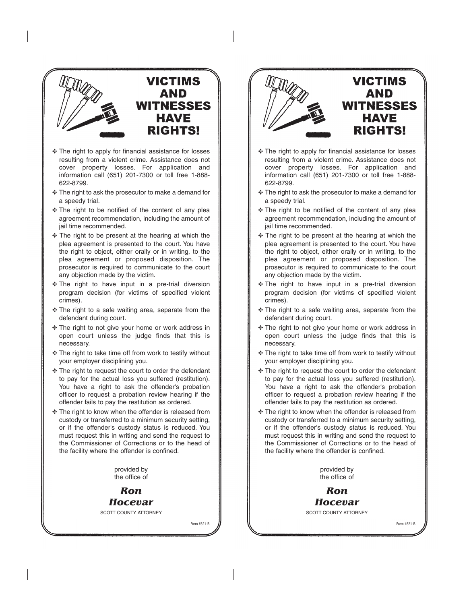

- ✥ The right to apply for financial assistance for losses resulting from a violent crime. Assistance does not cover property losses. For application and information call (651) 201-7300 or toll free 1-888- 622-8799.
- ✥ The right to ask the prosecutor to make a demand for a speedy trial.
- ✥ The right to be notified of the content of any plea agreement recommendation, including the amount of jail time recommended.
- ✥ The right to be present at the hearing at which the plea agreement is presented to the court. You have the right to object, either orally or in writing, to the plea agreement or proposed disposition. The prosecutor is required to communicate to the court any objection made by the victim.
- ✥ The right to have input in a pre-trial diversion program decision (for victims of specified violent crimes).
- ✥ The right to a safe waiting area, separate from the defendant during court.
- ✥ The right to not give your home or work address in open court unless the judge finds that this is necessary.
- ✥ The right to take time off from work to testify without your employer disciplining you.
- ✥ The right to request the court to order the defendant to pay for the actual loss you suffered (restitution). You have a right to ask the offender's probation officer to request a probation review hearing if the offender fails to pay the restitution as ordered.
- ✥ The right to know when the offender is released from custody or transferred to a minimum security setting, or if the offender's custody status is reduced. You must request this in writing and send the request to the Commissioner of Corrections or to the head of the facility where the offender is confined.

provided by the office of

*Ron Hocevar*

SCOTT COUNTY ATTORNEY

Form #321-B



- ✥ The right to apply for financial assistance for losses resulting from a violent crime. Assistance does not cover property losses. For application and information call (651) 201-7300 or toll free 1-888- 622-8799.
- ✥ The right to ask the prosecutor to make a demand for a speedy trial.
- ✥ The right to be notified of the content of any plea agreement recommendation, including the amount of jail time recommended.
- ✥ The right to be present at the hearing at which the plea agreement is presented to the court. You have the right to object, either orally or in writing, to the plea agreement or proposed disposition. The prosecutor is required to communicate to the court any objection made by the victim.
- ✥ The right to have input in a pre-trial diversion program decision (for victims of specified violent crimes).
- ✥ The right to a safe waiting area, separate from the defendant during court.
- ✥ The right to not give your home or work address in open court unless the judge finds that this is necessary.
- ✥ The right to take time off from work to testify without your employer disciplining you.
- ✥ The right to request the court to order the defendant to pay for the actual loss you suffered (restitution). You have a right to ask the offender's probation officer to request a probation review hearing if the offender fails to pay the restitution as ordered.
- ✥ The right to know when the offender is released from custody or transferred to a minimum security setting, or if the offender's custody status is reduced. You must request this in writing and send the request to the Commissioner of Corrections or to the head of the facility where the offender is confined.

provided by the office of

*Ron Hocevar*

SCOTT COUNTY ATTORNEY

Form #321-B